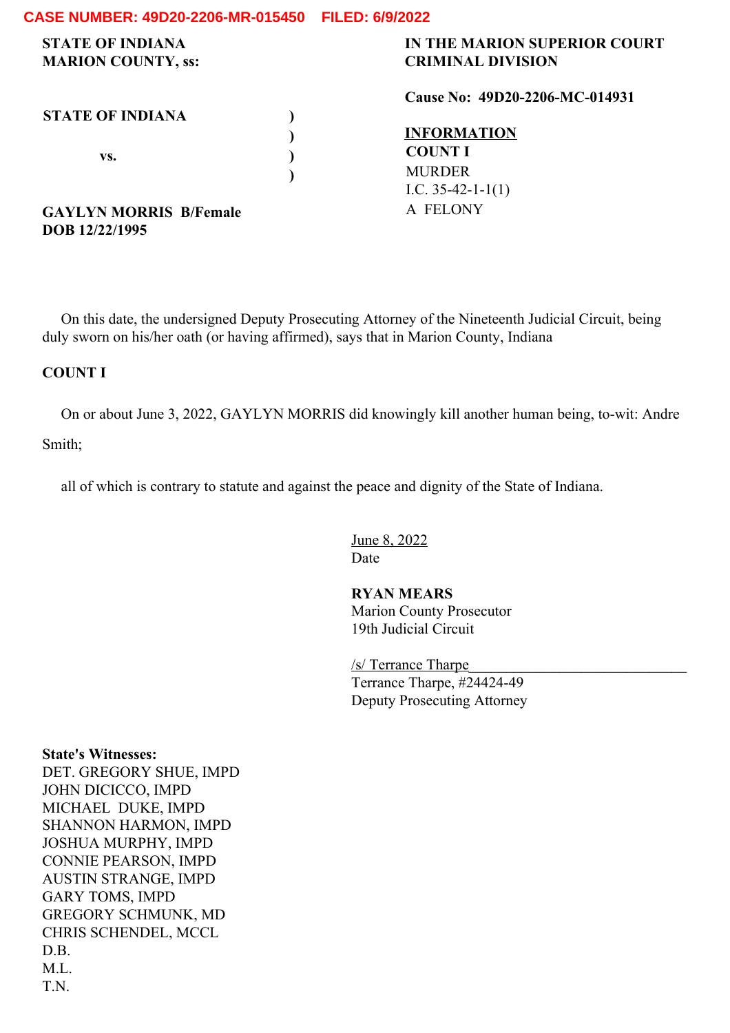| <b>STATE OF INDIANA</b><br><b>MARION COUNTY, ss:</b> | IN THE MARION SUPERIOR COURT<br><b>CRIMINAL DIVISION</b> |
|------------------------------------------------------|----------------------------------------------------------|
|                                                      | Cause No: 49D20-2206-MC-014931                           |
| <b>STATE OF INDIANA</b>                              |                                                          |
|                                                      | <b>INFORMATION</b>                                       |
| VS.                                                  | <b>COUNT I</b>                                           |
|                                                      | <b>MURDER</b>                                            |
|                                                      | I.C. $35-42-1-1(1)$                                      |
| <b>GAYLYN MORRIS B/Female</b>                        | A FELONY                                                 |
| DOB 12/22/1995                                       |                                                          |

On this date, the undersigned Deputy Prosecuting Attorney of the Nineteenth Judicial Circuit, being duly sworn on his/her oath (or having affirmed), says that in Marion County, Indiana

#### **COUNT I**

On or about June 3, 2022, GAYLYN MORRIS did knowingly kill another human being, to-wit: Andre Smith;

all of which is contrary to statute and against the peace and dignity of the State of Indiana.

June 8, 2022 Date

**RYAN MEARS** Marion County Prosecutor 19th Judicial Circuit

/s/ Terrance Tharpe Terrance Tharpe, #24424-49 Deputy Prosecuting Attorney

**State's Witnesses:** DET. GREGORY SHUE, IMPD JOHN DICICCO, IMPD MICHAEL DUKE, IMPD SHANNON HARMON, IMPD JOSHUA MURPHY, IMPD CONNIE PEARSON, IMPD AUSTIN STRANGE, IMPD GARY TOMS, IMPD GREGORY SCHMUNK, MD CHRIS SCHENDEL, MCCL D.B. M.L. T.N.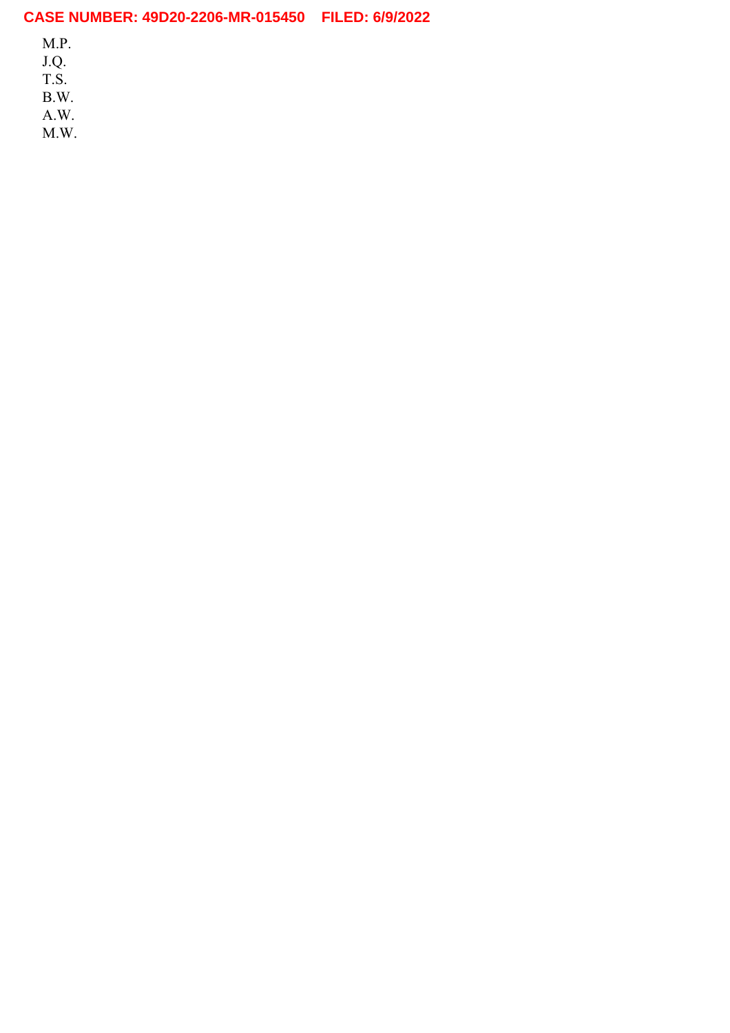M.P.

J.Q.

T.S.

B.W.

A.W.

M.W.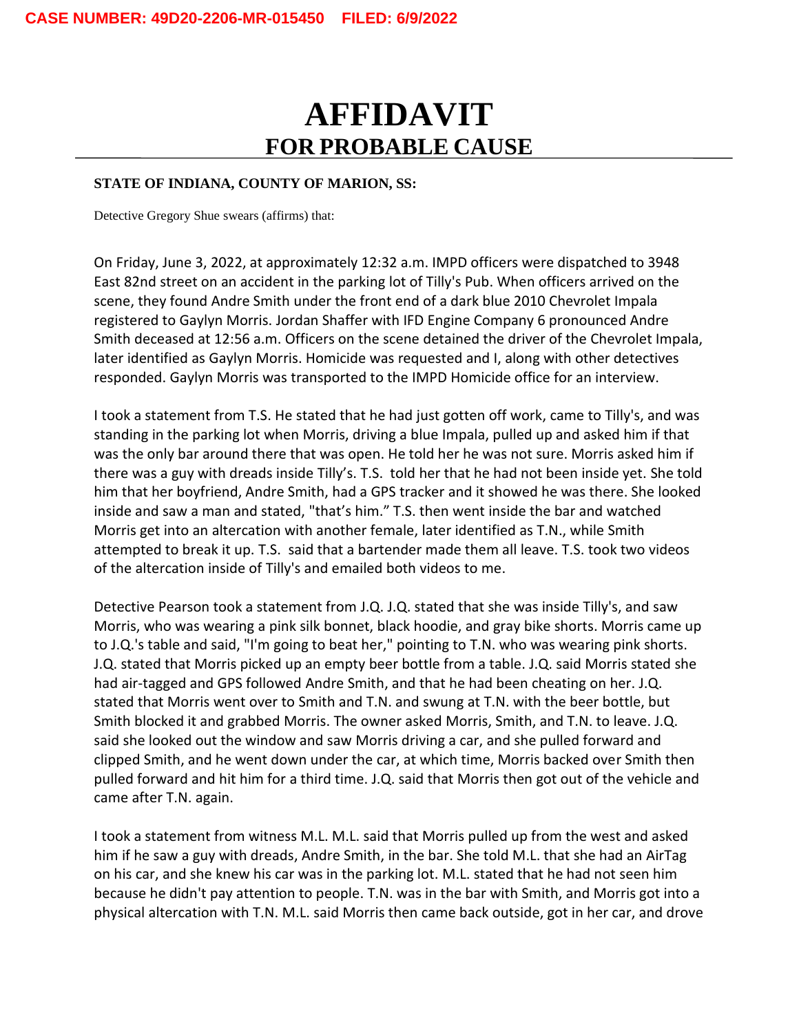# **AFFIDAVIT FOR PROBABLE CAUSE**

#### **STATE OF INDIANA, COUNTY OF MARION, SS:**

Detective Gregory Shue swears (affirms) that:

On Friday, June 3, 2022, at approximately 12:32 a.m. IMPD officers were dispatched to 3948 East 82nd street on an accident in the parking lot of Tilly's Pub. When officers arrived on the scene, they found Andre Smith under the front end of a dark blue 2010 Chevrolet Impala registered to Gaylyn Morris. Jordan Shaffer with IFD Engine Company 6 pronounced Andre Smith deceased at 12:56 a.m. Officers on the scene detained the driver of the Chevrolet Impala, later identified as Gaylyn Morris. Homicide was requested and I, along with other detectives responded. Gaylyn Morris was transported to the IMPD Homicide office for an interview.

I took a statement from T.S. He stated that he had just gotten off work, came to Tilly's, and was standing in the parking lot when Morris, driving a blue Impala, pulled up and asked him if that was the only bar around there that was open. He told her he was not sure. Morris asked him if there was a guy with dreads inside Tilly's. T.S. told her that he had not been inside yet. She told him that her boyfriend, Andre Smith, had a GPS tracker and it showed he was there. She looked inside and saw a man and stated, "that's him." T.S. then went inside the bar and watched Morris get into an altercation with another female, later identified as T.N., while Smith attempted to break it up. T.S. said that a bartender made them all leave. T.S. took two videos of the altercation inside of Tilly's and emailed both videos to me.

Detective Pearson took a statement from J.Q. J.Q. stated that she was inside Tilly's, and saw Morris, who was wearing a pink silk bonnet, black hoodie, and gray bike shorts. Morris came up to J.Q.'s table and said, "I'm going to beat her," pointing to T.N. who was wearing pink shorts. J.Q. stated that Morris picked up an empty beer bottle from a table. J.Q. said Morris stated she had air-tagged and GPS followed Andre Smith, and that he had been cheating on her. J.Q. stated that Morris went over to Smith and T.N. and swung at T.N. with the beer bottle, but Smith blocked it and grabbed Morris. The owner asked Morris, Smith, and T.N. to leave. J.Q. said she looked out the window and saw Morris driving a car, and she pulled forward and clipped Smith, and he went down under the car, at which time, Morris backed over Smith then pulled forward and hit him for a third time. J.Q. said that Morris then got out of the vehicle and came after T.N. again.

I took a statement from witness M.L. M.L. said that Morris pulled up from the west and asked him if he saw a guy with dreads, Andre Smith, in the bar. She told M.L. that she had an AirTag on his car, and she knew his car was in the parking lot. M.L. stated that he had not seen him because he didn't pay attention to people. T.N. was in the bar with Smith, and Morris got into a physical altercation with T.N. M.L. said Morris then came back outside, got in her car, and drove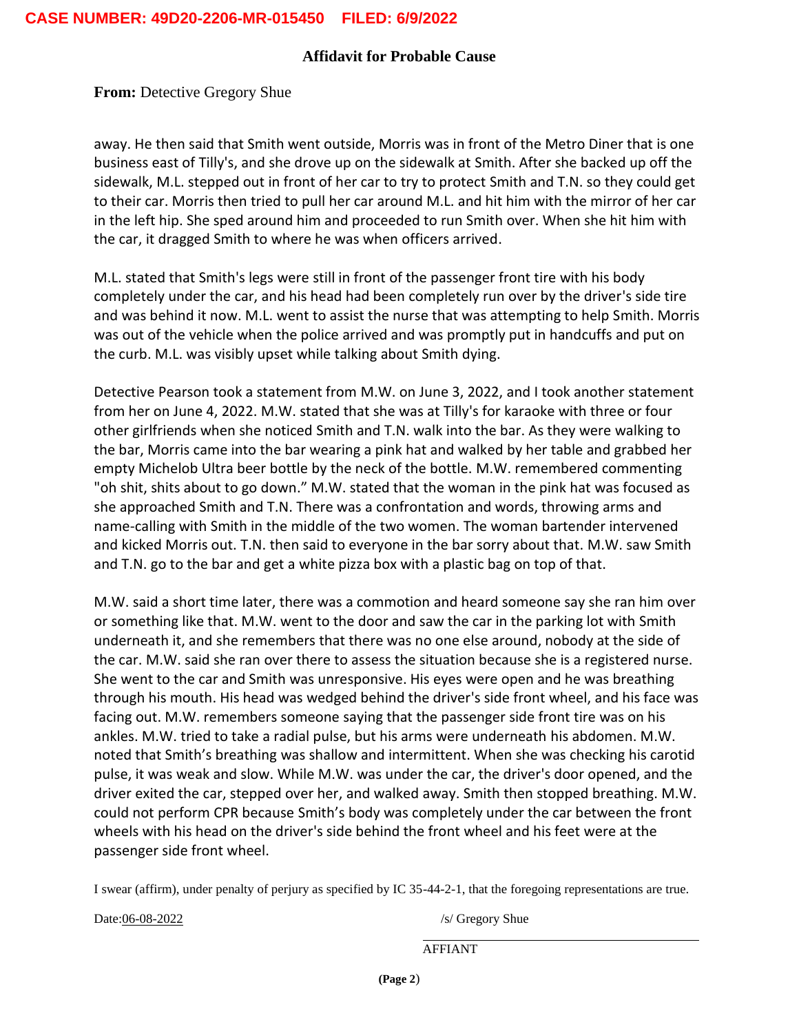**From:** Detective Gregory Shue

away. He then said that Smith went outside, Morris was in front of the Metro Diner that is one business east of Tilly's, and she drove up on the sidewalk at Smith. After she backed up off the sidewalk, M.L. stepped out in front of her car to try to protect Smith and T.N. so they could get to their car. Morris then tried to pull her car around M.L. and hit him with the mirror of her car in the left hip. She sped around him and proceeded to run Smith over. When she hit him with the car, it dragged Smith to where he was when officers arrived.

M.L. stated that Smith's legs were still in front of the passenger front tire with his body completely under the car, and his head had been completely run over by the driver's side tire and was behind it now. M.L. went to assist the nurse that was attempting to help Smith. Morris was out of the vehicle when the police arrived and was promptly put in handcuffs and put on the curb. M.L. was visibly upset while talking about Smith dying.

Detective Pearson took a statement from M.W. on June 3, 2022, and I took another statement from her on June 4, 2022. M.W. stated that she was at Tilly's for karaoke with three or four other girlfriends when she noticed Smith and T.N. walk into the bar. As they were walking to the bar, Morris came into the bar wearing a pink hat and walked by her table and grabbed her empty Michelob Ultra beer bottle by the neck of the bottle. M.W. remembered commenting "oh shit, shits about to go down." M.W. stated that the woman in the pink hat was focused as she approached Smith and T.N. There was a confrontation and words, throwing arms and name-calling with Smith in the middle of the two women. The woman bartender intervened and kicked Morris out. T.N. then said to everyone in the bar sorry about that. M.W. saw Smith and T.N. go to the bar and get a white pizza box with a plastic bag on top of that.

M.W. said a short time later, there was a commotion and heard someone say she ran him over or something like that. M.W. went to the door and saw the car in the parking lot with Smith underneath it, and she remembers that there was no one else around, nobody at the side of the car. M.W. said she ran over there to assess the situation because she is a registered nurse. She went to the car and Smith was unresponsive. His eyes were open and he was breathing through his mouth. His head was wedged behind the driver's side front wheel, and his face was facing out. M.W. remembers someone saying that the passenger side front tire was on his ankles. M.W. tried to take a radial pulse, but his arms were underneath his abdomen. M.W. noted that Smith's breathing was shallow and intermittent. When she was checking his carotid pulse, it was weak and slow. While M.W. was under the car, the driver's door opened, and the driver exited the car, stepped over her, and walked away. Smith then stopped breathing. M.W. could not perform CPR because Smith's body was completely under the car between the front wheels with his head on the driver's side behind the front wheel and his feet were at the passenger side front wheel.

I swear (affirm), under penalty of perjury as specified by IC 35-44-2-1, that the foregoing representations are true.

Date:06-08-2022 /s/ Gregory Shue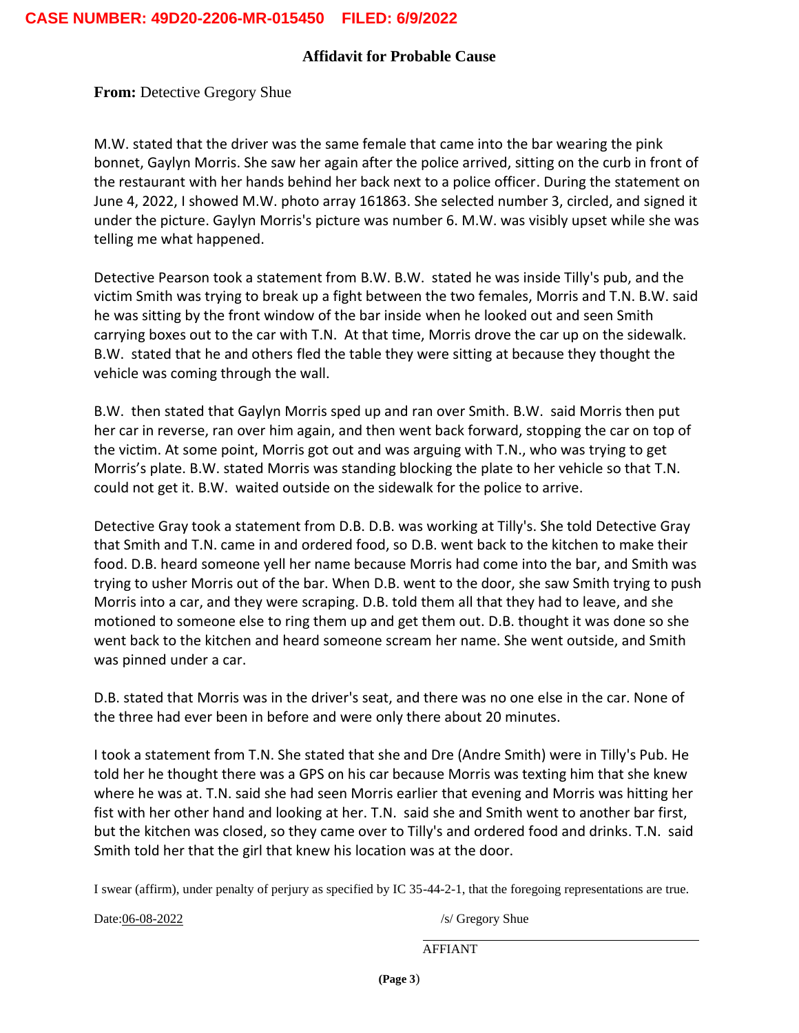**From: Detective Gregory Shue** 

M.W. stated that the driver was the same female that came into the bar wearing the pink bonnet, Gaylyn Morris. She saw her again after the police arrived, sitting on the curb in front of the restaurant with her hands behind her back next to a police officer. During the statement on June 4, 2022, I showed M.W. photo array 161863. She selected number 3, circled, and signed it under the picture. Gaylyn Morris's picture was number 6. M.W. was visibly upset while she was telling me what happened.

Detective Pearson took a statement from B.W. B.W. stated he was inside Tilly's pub, and the victim Smith was trying to break up a fight between the two females, Morris and T.N. B.W. said he was sitting by the front window of the bar inside when he looked out and seen Smith carrying boxes out to the car with T.N. At that time, Morris drove the car up on the sidewalk. B.W. stated that he and others fled the table they were sitting at because they thought the vehicle was coming through the wall.

B.W. then stated that Gaylyn Morris sped up and ran over Smith. B.W. said Morris then put her car in reverse, ran over him again, and then went back forward, stopping the car on top of the victim. At some point, Morris got out and was arguing with T.N., who was trying to get Morris's plate. B.W. stated Morris was standing blocking the plate to her vehicle so that T.N. could not get it. B.W. waited outside on the sidewalk for the police to arrive.

Detective Gray took a statement from D.B. D.B. was working at Tilly's. She told Detective Gray that Smith and T.N. came in and ordered food, so D.B. went back to the kitchen to make their food. D.B. heard someone yell her name because Morris had come into the bar, and Smith was trying to usher Morris out of the bar. When D.B. went to the door, she saw Smith trying to push Morris into a car, and they were scraping. D.B. told them all that they had to leave, and she motioned to someone else to ring them up and get them out. D.B. thought it was done so she went back to the kitchen and heard someone scream her name. She went outside, and Smith was pinned under a car.

D.B. stated that Morris was in the driver's seat, and there was no one else in the car. None of the three had ever been in before and were only there about 20 minutes.

I took a statement from T.N. She stated that she and Dre (Andre Smith) were in Tilly's Pub. He told her he thought there was a GPS on his car because Morris was texting him that she knew where he was at. T.N. said she had seen Morris earlier that evening and Morris was hitting her fist with her other hand and looking at her. T.N. said she and Smith went to another bar first, but the kitchen was closed, so they came over to Tilly's and ordered food and drinks. T.N. said Smith told her that the girl that knew his location was at the door.

I swear (affirm), under penalty of perjury as specified by IC 35-44-2-1, that the foregoing representations are true.

Date:06-08-2022 /s/ Gregory Shue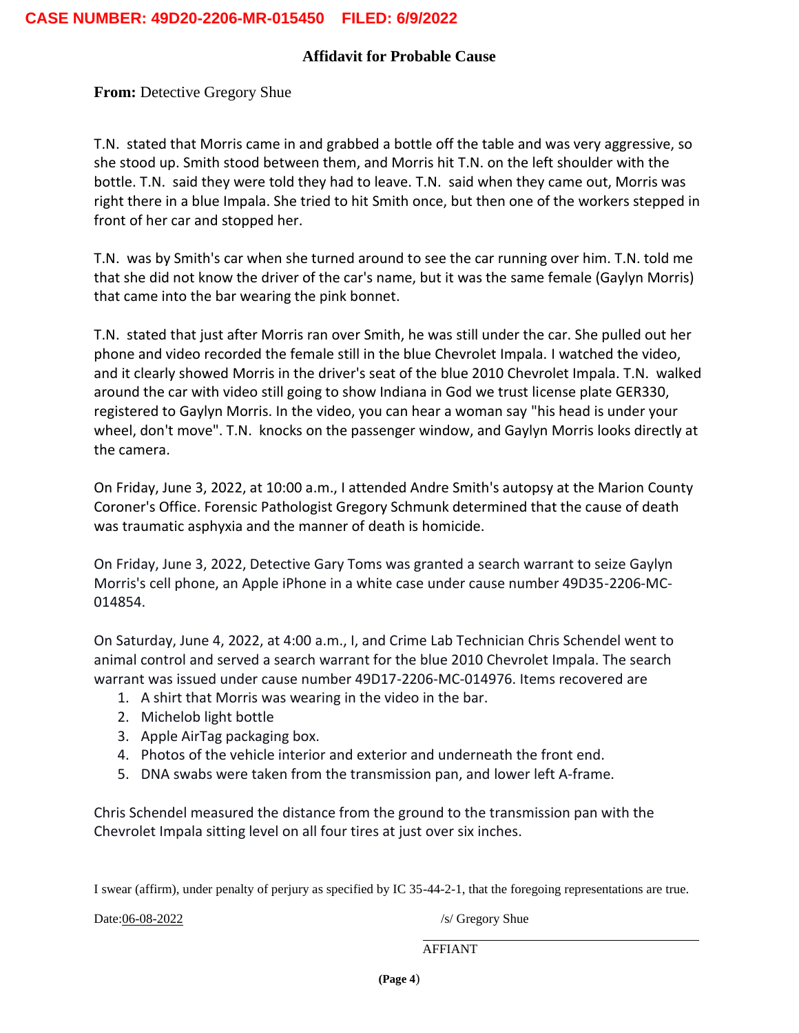**From: Detective Gregory Shue** 

T.N. stated that Morris came in and grabbed a bottle off the table and was very aggressive, so she stood up. Smith stood between them, and Morris hit T.N. on the left shoulder with the bottle. T.N. said they were told they had to leave. T.N. said when they came out, Morris was right there in a blue Impala. She tried to hit Smith once, but then one of the workers stepped in front of her car and stopped her.

T.N. was by Smith's car when she turned around to see the car running over him. T.N. told me that she did not know the driver of the car's name, but it was the same female (Gaylyn Morris) that came into the bar wearing the pink bonnet.

T.N. stated that just after Morris ran over Smith, he was still under the car. She pulled out her phone and video recorded the female still in the blue Chevrolet Impala. I watched the video, and it clearly showed Morris in the driver's seat of the blue 2010 Chevrolet Impala. T.N. walked around the car with video still going to show Indiana in God we trust license plate GER330, registered to Gaylyn Morris. In the video, you can hear a woman say "his head is under your wheel, don't move". T.N. knocks on the passenger window, and Gaylyn Morris looks directly at the camera.

On Friday, June 3, 2022, at 10:00 a.m., I attended Andre Smith's autopsy at the Marion County Coroner's Office. Forensic Pathologist Gregory Schmunk determined that the cause of death was traumatic asphyxia and the manner of death is homicide.

On Friday, June 3, 2022, Detective Gary Toms was granted a search warrant to seize Gaylyn Morris's cell phone, an Apple iPhone in a white case under cause number 49D35-2206-MC-014854.

On Saturday, June 4, 2022, at 4:00 a.m., I, and Crime Lab Technician Chris Schendel went to animal control and served a search warrant for the blue 2010 Chevrolet Impala. The search warrant was issued under cause number 49D17-2206-MC-014976. Items recovered are

- 1. A shirt that Morris was wearing in the video in the bar.
- 2. Michelob light bottle
- 3. Apple AirTag packaging box.
- 4. Photos of the vehicle interior and exterior and underneath the front end.
- 5. DNA swabs were taken from the transmission pan, and lower left A-frame.

Chris Schendel measured the distance from the ground to the transmission pan with the Chevrolet Impala sitting level on all four tires at just over six inches.

I swear (affirm), under penalty of perjury as specified by IC 35-44-2-1, that the foregoing representations are true.

Date:06-08-2022 /s/ Gregory Shue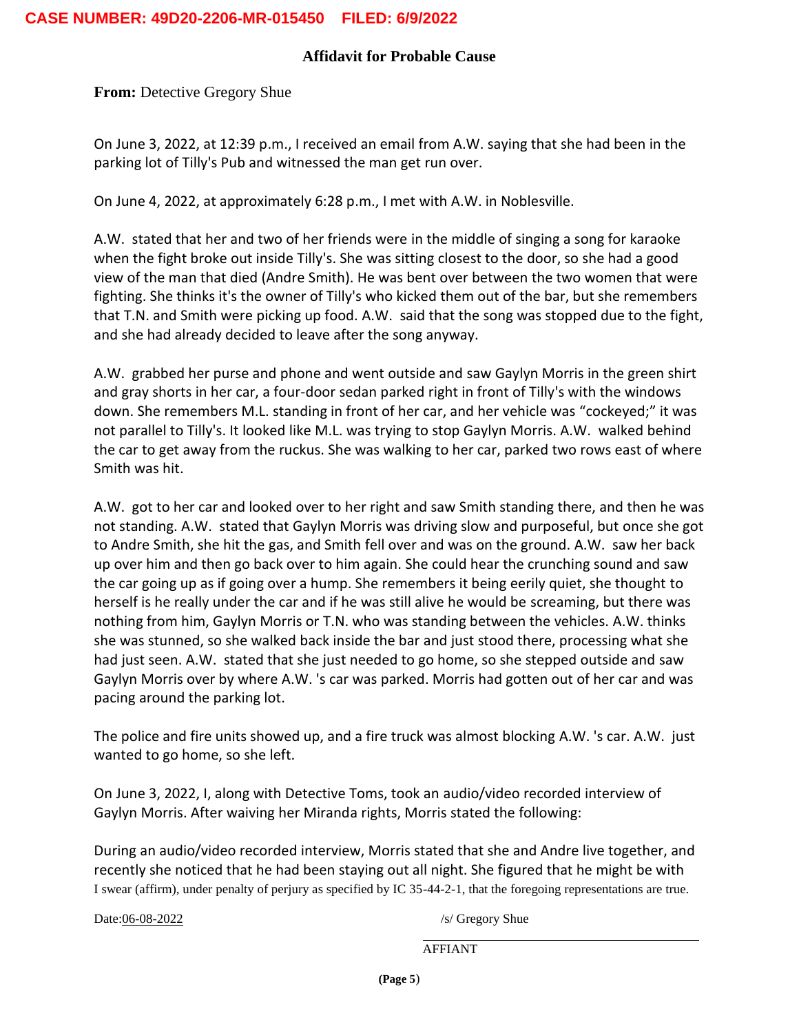**From: Detective Gregory Shue** 

On June 3, 2022, at 12:39 p.m., I received an email from A.W. saying that she had been in the parking lot of Tilly's Pub and witnessed the man get run over.

On June 4, 2022, at approximately 6:28 p.m., I met with A.W. in Noblesville.

A.W. stated that her and two of her friends were in the middle of singing a song for karaoke when the fight broke out inside Tilly's. She was sitting closest to the door, so she had a good view of the man that died (Andre Smith). He was bent over between the two women that were fighting. She thinks it's the owner of Tilly's who kicked them out of the bar, but she remembers that T.N. and Smith were picking up food. A.W. said that the song was stopped due to the fight, and she had already decided to leave after the song anyway.

A.W. grabbed her purse and phone and went outside and saw Gaylyn Morris in the green shirt and gray shorts in her car, a four-door sedan parked right in front of Tilly's with the windows down. She remembers M.L. standing in front of her car, and her vehicle was "cockeyed;" it was not parallel to Tilly's. It looked like M.L. was trying to stop Gaylyn Morris. A.W. walked behind the car to get away from the ruckus. She was walking to her car, parked two rows east of where Smith was hit.

A.W. got to her car and looked over to her right and saw Smith standing there, and then he was not standing. A.W. stated that Gaylyn Morris was driving slow and purposeful, but once she got to Andre Smith, she hit the gas, and Smith fell over and was on the ground. A.W. saw her back up over him and then go back over to him again. She could hear the crunching sound and saw the car going up as if going over a hump. She remembers it being eerily quiet, she thought to herself is he really under the car and if he was still alive he would be screaming, but there was nothing from him, Gaylyn Morris or T.N. who was standing between the vehicles. A.W. thinks she was stunned, so she walked back inside the bar and just stood there, processing what she had just seen. A.W. stated that she just needed to go home, so she stepped outside and saw Gaylyn Morris over by where A.W. 's car was parked. Morris had gotten out of her car and was pacing around the parking lot.

The police and fire units showed up, and a fire truck was almost blocking A.W. 's car. A.W. just wanted to go home, so she left.

On June 3, 2022, I, along with Detective Toms, took an audio/video recorded interview of Gaylyn Morris. After waiving her Miranda rights, Morris stated the following:

I swear (affirm), under penalty of perjury as specified by IC 35-44-2-1, that the foregoing representations are true. During an audio/video recorded interview, Morris stated that she and Andre live together, and recently she noticed that he had been staying out all night. She figured that he might be with

Date:06-08-2022 /s/ Gregory Shue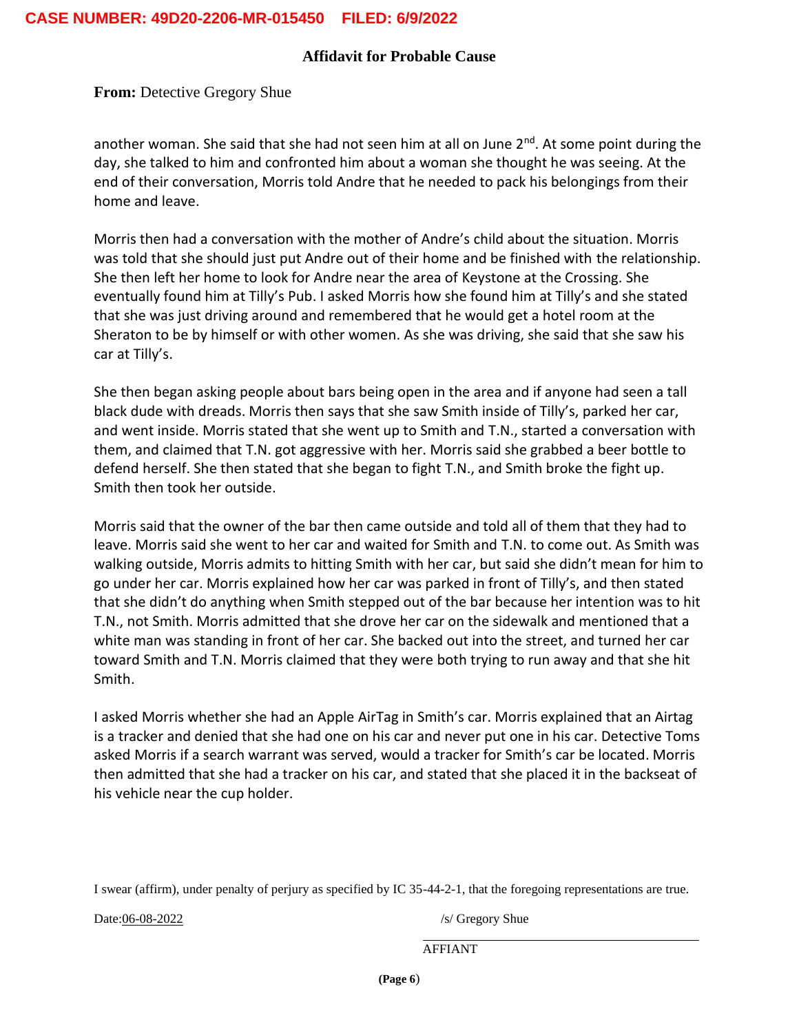#### **Affidavit for Probable Cause**

**From: Detective Gregory Shue** 

another woman. She said that she had not seen him at all on June  $2<sup>nd</sup>$ . At some point during the day, she talked to him and confronted him about a woman she thought he was seeing. At the end of their conversation, Morris told Andre that he needed to pack his belongings from their home and leave.

Morris then had a conversation with the mother of Andre's child about the situation. Morris was told that she should just put Andre out of their home and be finished with the relationship. She then left her home to look for Andre near the area of Keystone at the Crossing. She eventually found him at Tilly's Pub. I asked Morris how she found him at Tilly's and she stated that she was just driving around and remembered that he would get a hotel room at the Sheraton to be by himself or with other women. As she was driving, she said that she saw his car at Tilly's.

She then began asking people about bars being open in the area and if anyone had seen a tall black dude with dreads. Morris then says that she saw Smith inside of Tilly's, parked her car, and went inside. Morris stated that she went up to Smith and T.N., started a conversation with them, and claimed that T.N. got aggressive with her. Morris said she grabbed a beer bottle to defend herself. She then stated that she began to fight T.N., and Smith broke the fight up. Smith then took her outside.

Morris said that the owner of the bar then came outside and told all of them that they had to leave. Morris said she went to her car and waited for Smith and T.N. to come out. As Smith was walking outside, Morris admits to hitting Smith with her car, but said she didn't mean for him to go under her car. Morris explained how her car was parked in front of Tilly's, and then stated that she didn't do anything when Smith stepped out of the bar because her intention was to hit T.N., not Smith. Morris admitted that she drove her car on the sidewalk and mentioned that a white man was standing in front of her car. She backed out into the street, and turned her car toward Smith and T.N. Morris claimed that they were both trying to run away and that she hit Smith.

I asked Morris whether she had an Apple AirTag in Smith's car. Morris explained that an Airtag is a tracker and denied that she had one on his car and never put one in his car. Detective Toms asked Morris if a search warrant was served, would a tracker for Smith's car be located. Morris then admitted that she had a tracker on his car, and stated that she placed it in the backseat of his vehicle near the cup holder.

I swear (affirm), under penalty of perjury as specified by IC 35-44-2-1, that the foregoing representations are true.

Date:06-08-2022 /s/ Gregory Shue